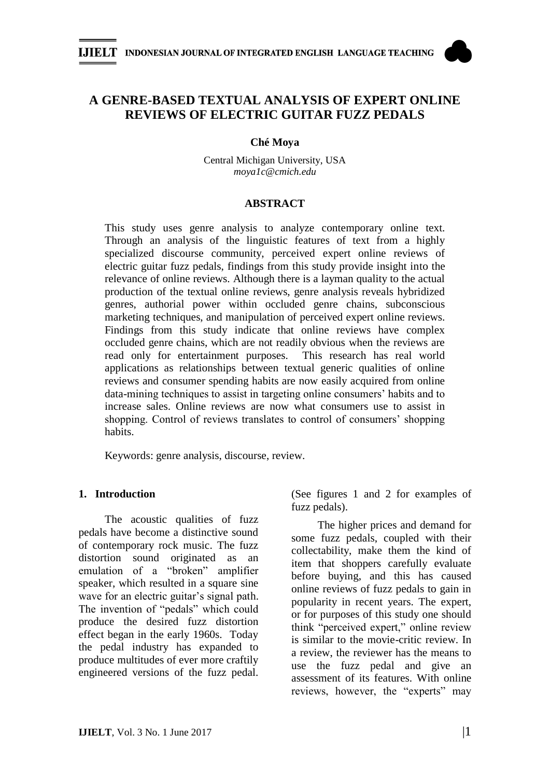

# **A GENRE-BASED TEXTUAL ANALYSIS OF EXPERT ONLINE REVIEWS OF ELECTRIC GUITAR FUZZ PEDALS**

#### **Ché Moya**

Central Michigan University, USA *moya1c@cmich.edu*

#### **ABSTRACT**

This study uses genre analysis to analyze contemporary online text. Through an analysis of the linguistic features of text from a highly specialized discourse community, perceived expert online reviews of electric guitar fuzz pedals, findings from this study provide insight into the relevance of online reviews. Although there is a layman quality to the actual production of the textual online reviews, genre analysis reveals hybridized genres, authorial power within occluded genre chains, subconscious marketing techniques, and manipulation of perceived expert online reviews. Findings from this study indicate that online reviews have complex occluded genre chains, which are not readily obvious when the reviews are read only for entertainment purposes. This research has real world applications as relationships between textual generic qualities of online reviews and consumer spending habits are now easily acquired from online data-mining techniques to assist in targeting online consumers' habits and to increase sales. Online reviews are now what consumers use to assist in shopping. Control of reviews translates to control of consumers' shopping habits.

Keywords: genre analysis, discourse, review.

#### **1. Introduction**

The acoustic qualities of fuzz pedals have become a distinctive sound of contemporary rock music. The fuzz distortion sound originated as an emulation of a "broken" amplifier speaker, which resulted in a square sine wave for an electric guitar's signal path. The invention of "pedals" which could produce the desired fuzz distortion effect began in the early 1960s. Today the pedal industry has expanded to produce multitudes of ever more craftily engineered versions of the fuzz pedal. (See figures 1 and 2 for examples of fuzz pedals).

The higher prices and demand for some fuzz pedals, coupled with their collectability, make them the kind of item that shoppers carefully evaluate before buying, and this has caused online reviews of fuzz pedals to gain in popularity in recent years. The expert, or for purposes of this study one should think "perceived expert," online review is similar to the movie-critic review. In a review, the reviewer has the means to use the fuzz pedal and give an assessment of its features. With online reviews, however, the "experts" may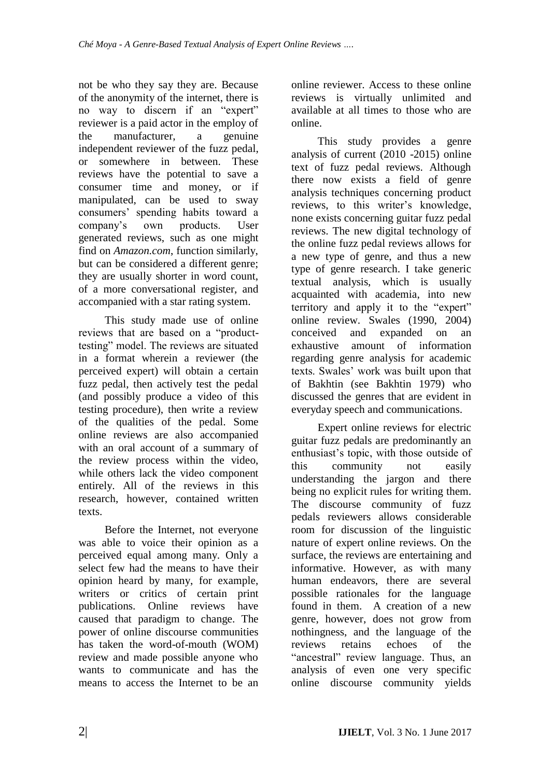not be who they say they are. Because of the anonymity of the internet, there is no way to discern if an "expert" reviewer is a paid actor in the employ of the manufacturer, a genuine independent reviewer of the fuzz pedal, or somewhere in between. These reviews have the potential to save a consumer time and money, or if manipulated, can be used to sway consumers' spending habits toward a company's own products. User generated reviews, such as one might find on *Amazon.com*, function similarly, but can be considered a different genre; they are usually shorter in word count, of a more conversational register, and accompanied with a star rating system.

This study made use of online reviews that are based on a "producttesting" model. The reviews are situated in a format wherein a reviewer (the perceived expert) will obtain a certain fuzz pedal, then actively test the pedal (and possibly produce a video of this testing procedure), then write a review of the qualities of the pedal. Some online reviews are also accompanied with an oral account of a summary of the review process within the video, while others lack the video component entirely. All of the reviews in this research, however, contained written texts.

Before the Internet, not everyone was able to voice their opinion as a perceived equal among many. Only a select few had the means to have their opinion heard by many, for example, writers or critics of certain print publications. Online reviews have caused that paradigm to change. The power of online discourse communities has taken the word-of-mouth (WOM) review and made possible anyone who wants to communicate and has the means to access the Internet to be an

online reviewer. Access to these online reviews is virtually unlimited and available at all times to those who are online.

This study provides a genre analysis of current (2010 -2015) online text of fuzz pedal reviews. Although there now exists a field of genre analysis techniques concerning product reviews, to this writer's knowledge, none exists concerning guitar fuzz pedal reviews. The new digital technology of the online fuzz pedal reviews allows for a new type of genre, and thus a new type of genre research. I take generic textual analysis, which is usually acquainted with academia, into new territory and apply it to the "expert" online review. Swales (1990, 2004) conceived and expanded on an exhaustive amount of information regarding genre analysis for academic texts. Swales' work was built upon that of Bakhtin (see Bakhtin 1979) who discussed the genres that are evident in everyday speech and communications.

Expert online reviews for electric guitar fuzz pedals are predominantly an enthusiast's topic, with those outside of this community not easily understanding the jargon and there being no explicit rules for writing them. The discourse community of fuzz pedals reviewers allows considerable room for discussion of the linguistic nature of expert online reviews. On the surface, the reviews are entertaining and informative. However, as with many human endeavors, there are several possible rationales for the language found in them. A creation of a new genre, however, does not grow from nothingness, and the language of the reviews retains echoes of the "ancestral" review language. Thus, an analysis of even one very specific online discourse community yields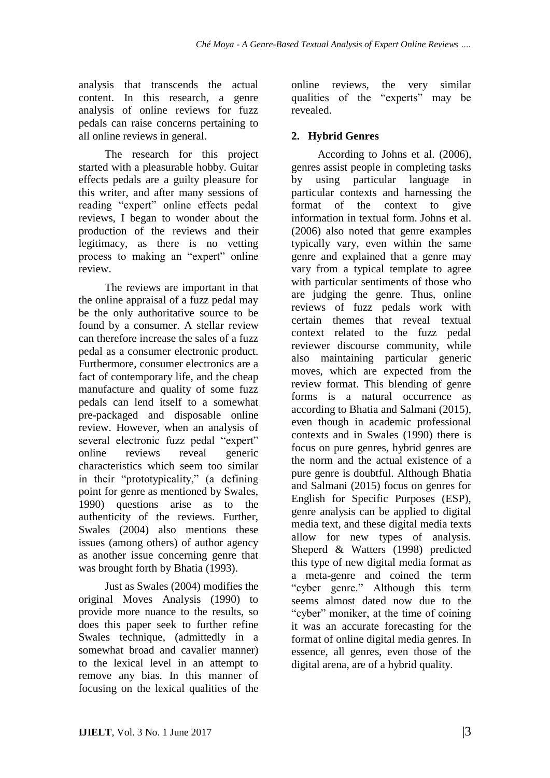analysis that transcends the actual content. In this research, a genre analysis of online reviews for fuzz pedals can raise concerns pertaining to all online reviews in general.

The research for this project started with a pleasurable hobby. Guitar effects pedals are a guilty pleasure for this writer, and after many sessions of reading "expert" online effects pedal reviews, I began to wonder about the production of the reviews and their legitimacy, as there is no vetting process to making an "expert" online review.

The reviews are important in that the online appraisal of a fuzz pedal may be the only authoritative source to be found by a consumer. A stellar review can therefore increase the sales of a fuzz pedal as a consumer electronic product. Furthermore, consumer electronics are a fact of contemporary life, and the cheap manufacture and quality of some fuzz pedals can lend itself to a somewhat pre-packaged and disposable online review. However, when an analysis of several electronic fuzz pedal "expert" online reviews reveal generic characteristics which seem too similar in their "prototypicality," (a defining point for genre as mentioned by Swales, 1990) questions arise as to the authenticity of the reviews. Further, Swales (2004) also mentions these issues (among others) of author agency as another issue concerning genre that was brought forth by Bhatia (1993).

Just as Swales (2004) modifies the original Moves Analysis (1990) to provide more nuance to the results, so does this paper seek to further refine Swales technique, (admittedly in a somewhat broad and cavalier manner) to the lexical level in an attempt to remove any bias. In this manner of focusing on the lexical qualities of the

online reviews, the very similar qualities of the "experts" may be revealed.

## **2. Hybrid Genres**

According to Johns et al. (2006), genres assist people in completing tasks by using particular language in particular contexts and harnessing the format of the context to give information in textual form. Johns et al. (2006) also noted that genre examples typically vary, even within the same genre and explained that a genre may vary from a typical template to agree with particular sentiments of those who are judging the genre. Thus, online reviews of fuzz pedals work with certain themes that reveal textual context related to the fuzz pedal reviewer discourse community, while also maintaining particular generic moves, which are expected from the review format. This blending of genre forms is a natural occurrence as according to Bhatia and Salmani (2015), even though in academic professional contexts and in Swales (1990) there is focus on pure genres, hybrid genres are the norm and the actual existence of a pure genre is doubtful. Although Bhatia and Salmani (2015) focus on genres for English for Specific Purposes (ESP), genre analysis can be applied to digital media text, and these digital media texts allow for new types of analysis. Sheperd & Watters (1998) predicted this type of new digital media format as a meta-genre and coined the term ―cyber genre.‖ Although this term seems almost dated now due to the "cyber" moniker, at the time of coining it was an accurate forecasting for the format of online digital media genres. In essence, all genres, even those of the digital arena, are of a hybrid quality.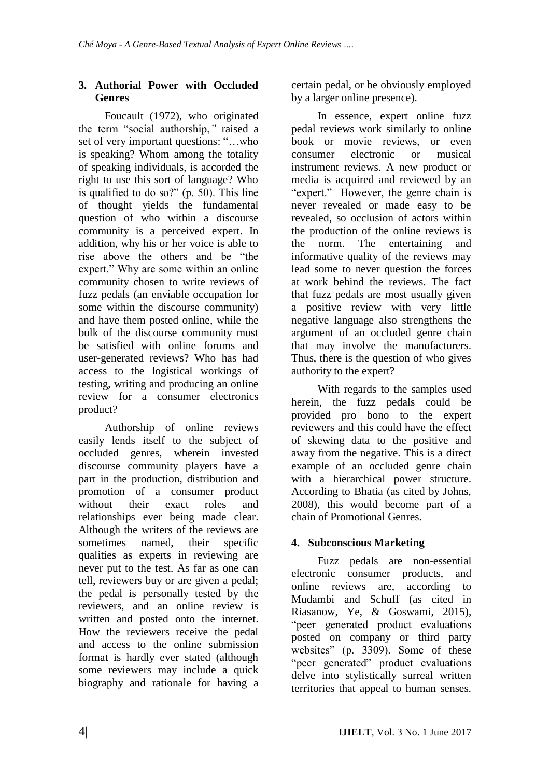## **3. Authorial Power with Occluded Genres**

Foucault (1972), who originated the term "social authorship," raised a set of very important questions: "...who is speaking? Whom among the totality of speaking individuals, is accorded the right to use this sort of language? Who is qualified to do so?"  $(p. 50)$ . This line of thought yields the fundamental question of who within a discourse community is a perceived expert. In addition, why his or her voice is able to rise above the others and be "the expert." Why are some within an online community chosen to write reviews of fuzz pedals (an enviable occupation for some within the discourse community) and have them posted online, while the bulk of the discourse community must be satisfied with online forums and user-generated reviews? Who has had access to the logistical workings of testing, writing and producing an online review for a consumer electronics product?

Authorship of online reviews easily lends itself to the subject of occluded genres, wherein invested discourse community players have a part in the production, distribution and promotion of a consumer product without their exact roles and relationships ever being made clear. Although the writers of the reviews are sometimes named, their specific qualities as experts in reviewing are never put to the test. As far as one can tell, reviewers buy or are given a pedal; the pedal is personally tested by the reviewers, and an online review is written and posted onto the internet. How the reviewers receive the pedal and access to the online submission format is hardly ever stated (although some reviewers may include a quick biography and rationale for having a certain pedal, or be obviously employed by a larger online presence).

In essence, expert online fuzz pedal reviews work similarly to online book or movie reviews, or even consumer electronic or musical instrument reviews. A new product or media is acquired and reviewed by an "expert." However, the genre chain is never revealed or made easy to be revealed, so occlusion of actors within the production of the online reviews is the norm. The entertaining and informative quality of the reviews may lead some to never question the forces at work behind the reviews. The fact that fuzz pedals are most usually given a positive review with very little negative language also strengthens the argument of an occluded genre chain that may involve the manufacturers. Thus, there is the question of who gives authority to the expert?

With regards to the samples used herein, the fuzz pedals could be provided pro bono to the expert reviewers and this could have the effect of skewing data to the positive and away from the negative. This is a direct example of an occluded genre chain with a hierarchical power structure. According to Bhatia (as cited by Johns, 2008), this would become part of a chain of Promotional Genres.

# **4. Subconscious Marketing**

Fuzz pedals are non-essential electronic consumer products, and online reviews are, according to Mudambi and Schuff (as cited in Riasanow, Ye, & Goswami, 2015), "peer generated product evaluations" posted on company or third party websites" (p. 3309). Some of these "peer generated" product evaluations delve into stylistically surreal written territories that appeal to human senses.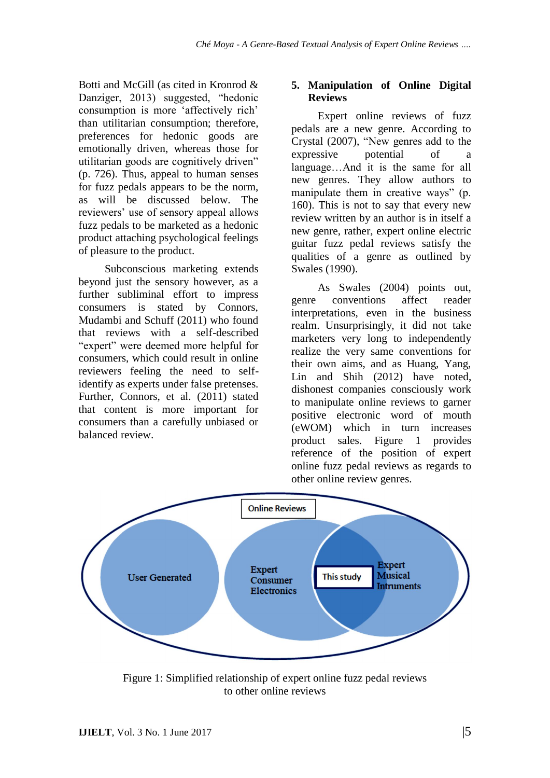Botti and McGill (as cited in Kronrod & Danziger, 2013) suggested, "hedonic consumption is more 'affectively rich' than utilitarian consumption; therefore, preferences for hedonic goods are emotionally driven, whereas those for utilitarian goods are cognitively driven" (p. 726). Thus, appeal to human senses for fuzz pedals appears to be the norm, as will be discussed below. The reviewers' use of sensory appeal allows fuzz pedals to be marketed as a hedonic product attaching psychological feelings of pleasure to the product.

Subconscious marketing extends beyond just the sensory however, as a further subliminal effort to impress consumers is stated by Connors, Mudambi and Schuff (2011) who found that reviews with a self-described "expert" were deemed more helpful for consumers, which could result in online reviewers feeling the need to selfidentify as experts under false pretenses. Further, Connors, et al. (2011) stated that content is more important for consumers than a carefully unbiased or balanced review.

### **5. Manipulation of Online Digital Reviews**

Expert online reviews of fuzz pedals are a new genre. According to Crystal  $(2007)$ , "New genres add to the expressive potential of a language…And it is the same for all new genres. They allow authors to manipulate them in creative ways" (p. 160). This is not to say that every new review written by an author is in itself a new genre, rather, expert online electric guitar fuzz pedal reviews satisfy the qualities of a genre as outlined by Swales (1990).

As Swales (2004) points out, genre conventions affect reader interpretations, even in the business realm. Unsurprisingly, it did not take marketers very long to independently realize the very same conventions for their own aims, and as Huang, Yang, Lin and Shih (2012) have noted, dishonest companies consciously work to manipulate online reviews to garner positive electronic word of mouth (eWOM) which in turn increases product sales. Figure 1 provides reference of the position of expert online fuzz pedal reviews as regards to other online review genres.



Figure 1: Simplified relationship of expert online fuzz pedal reviews to other online reviews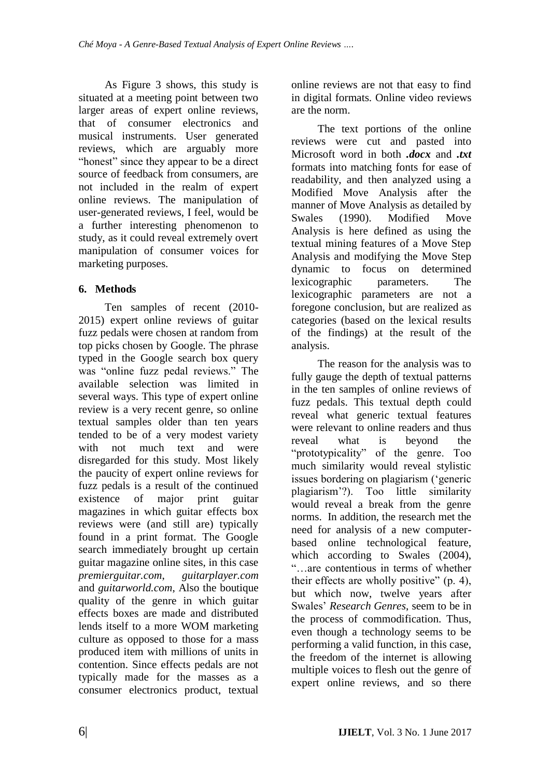As Figure 3 shows, this study is situated at a meeting point between two larger areas of expert online reviews, that of consumer electronics and musical instruments. User generated reviews, which are arguably more "honest" since they appear to be a direct source of feedback from consumers, are not included in the realm of expert online reviews. The manipulation of user-generated reviews, I feel, would be a further interesting phenomenon to study, as it could reveal extremely overt manipulation of consumer voices for marketing purposes.

### **6. Methods**

Ten samples of recent (2010- 2015) expert online reviews of guitar fuzz pedals were chosen at random from top picks chosen by Google. The phrase typed in the Google search box query was "online fuzz pedal reviews." The available selection was limited in several ways. This type of expert online review is a very recent genre, so online textual samples older than ten years tended to be of a very modest variety with not much text and were disregarded for this study. Most likely the paucity of expert online reviews for fuzz pedals is a result of the continued existence of major print guitar magazines in which guitar effects box reviews were (and still are) typically found in a print format. The Google search immediately brought up certain guitar magazine online sites, in this case *premierguitar.com*, *guitarplayer.com* and *guitarworld.com*, Also the boutique quality of the genre in which guitar effects boxes are made and distributed lends itself to a more WOM marketing culture as opposed to those for a mass produced item with millions of units in contention. Since effects pedals are not typically made for the masses as a consumer electronics product, textual online reviews are not that easy to find in digital formats. Online video reviews are the norm.

The text portions of the online reviews were cut and pasted into Microsoft word in both *.docx* and *.txt*  formats into matching fonts for ease of readability, and then analyzed using a Modified Move Analysis after the manner of Move Analysis as detailed by Swales (1990). Modified Move Analysis is here defined as using the textual mining features of a Move Step Analysis and modifying the Move Step dynamic to focus on determined lexicographic parameters. The lexicographic parameters are not a foregone conclusion, but are realized as categories (based on the lexical results of the findings) at the result of the analysis.

The reason for the analysis was to fully gauge the depth of textual patterns in the ten samples of online reviews of fuzz pedals. This textual depth could reveal what generic textual features were relevant to online readers and thus reveal what is beyond the "prototypicality" of the genre. Too much similarity would reveal stylistic issues bordering on plagiarism (*'generic* plagiarism'?). Too little similarity would reveal a break from the genre norms. In addition, the research met the need for analysis of a new computerbased online technological feature, which according to Swales (2004), ―…are contentious in terms of whether their effects are wholly positive"  $(p. 4)$ , but which now, twelve years after Swales' *Research Genres*, seem to be in the process of commodification. Thus, even though a technology seems to be performing a valid function, in this case, the freedom of the internet is allowing multiple voices to flesh out the genre of expert online reviews, and so there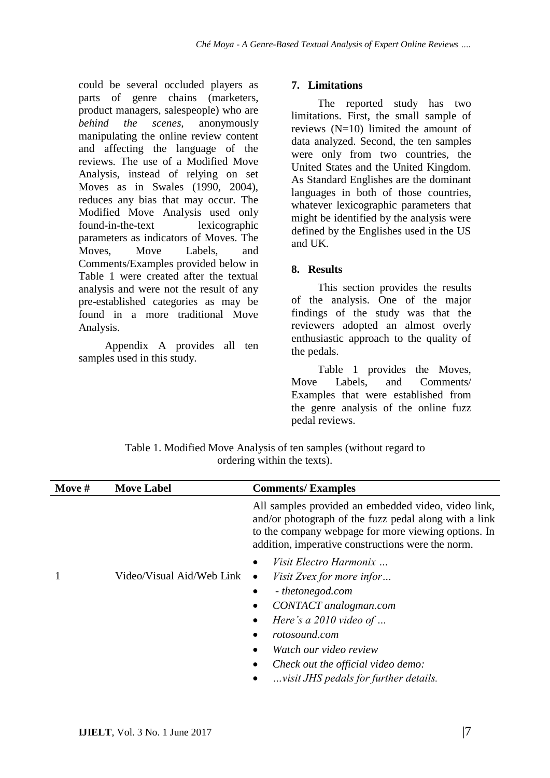could be several occluded players as parts of genre chains (marketers, product managers, salespeople) who are *behind the scenes,* anonymously manipulating the online review content and affecting the language of the reviews. The use of a Modified Move Analysis, instead of relying on set Moves as in Swales (1990, 2004), reduces any bias that may occur. The Modified Move Analysis used only found-in-the-text lexicographic parameters as indicators of Moves. The Moves, Move Labels, and Comments/Examples provided below in Table 1 were created after the textual analysis and were not the result of any pre-established categories as may be found in a more traditional Move Analysis.

Appendix A provides all ten samples used in this study.

### **7. Limitations**

The reported study has two limitations. First, the small sample of reviews (N=10) limited the amount of data analyzed. Second, the ten samples were only from two countries, the United States and the United Kingdom. As Standard Englishes are the dominant languages in both of those countries, whatever lexicographic parameters that might be identified by the analysis were defined by the Englishes used in the US and UK.

### **8. Results**

This section provides the results of the analysis. One of the major findings of the study was that the reviewers adopted an almost overly enthusiastic approach to the quality of the pedals.

Table 1 provides the Moves, Move Labels, and Comments/ Examples that were established from the genre analysis of the online fuzz pedal reviews.

Table 1. Modified Move Analysis of ten samples (without regard to ordering within the texts).

| Move # | <b>Move Label</b>         | <b>Comments/Examples</b>                                                                                                                                                                                                 |  |
|--------|---------------------------|--------------------------------------------------------------------------------------------------------------------------------------------------------------------------------------------------------------------------|--|
|        |                           | All samples provided an embedded video, video link,<br>and/or photograph of the fuzz pedal along with a link<br>to the company webpage for more viewing options. In<br>addition, imperative constructions were the norm. |  |
|        |                           | Visit Electro Harmonix                                                                                                                                                                                                   |  |
|        | Video/Visual Aid/Web Link | <i>Visit Zvex for more infor</i><br>$\bullet$                                                                                                                                                                            |  |
|        |                           | - thetonegod.com                                                                                                                                                                                                         |  |
|        |                           | CONTACT analogman.com                                                                                                                                                                                                    |  |
|        |                           | Here's a $2010$ video of                                                                                                                                                                                                 |  |
|        |                           | rotosound.com                                                                                                                                                                                                            |  |
|        |                           | Watch our video review                                                                                                                                                                                                   |  |
|        |                           | Check out the official video demo:                                                                                                                                                                                       |  |
|        |                           | visit JHS pedals for further details.                                                                                                                                                                                    |  |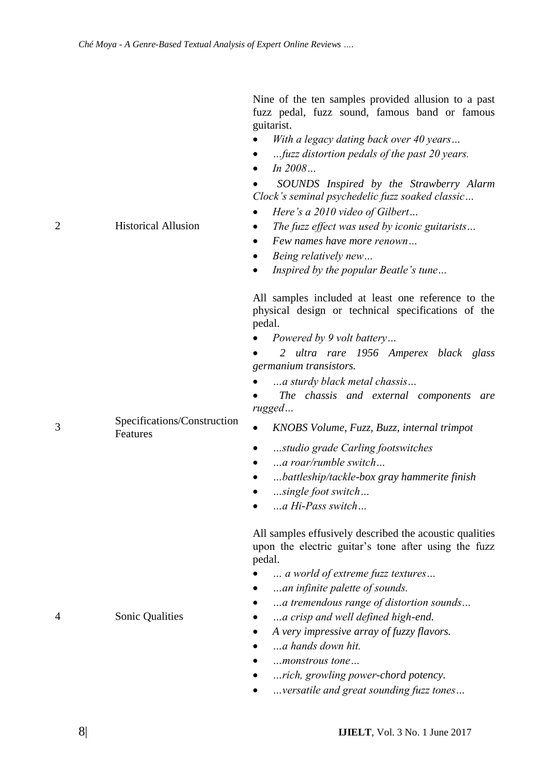Nine of the ten samples provided allusion to a past fuzz pedal, fuzz sound, famous band or famous guitarist.

- *With a legacy dating back over 40 years…*
- *…fuzz distortion pedals of the past 20 years.*
- *In 2008…*

 *SOUNDS Inspired by the Strawberry Alarm Clock's seminal psychedelic fuzz soaked classic…*

- *Here's a 2010 video of Gilbert…*
- 2 Historical Allusion *The fuzz effect was used by iconic guitarists…*
	- *Few names have more renown…*
	- *Being relatively new…*
	- *Inspired by the popular Beatle's tune…*

All samples included at least one reference to the physical design or technical specifications of the pedal.

*Powered by 9 volt battery…*

 *2 ultra rare 1956 Amperex black glass germanium transistors.*

*…a sturdy black metal chassis…*

 *The chassis and external components are rugged…*

- Features *KNOBS Volume, Fuzz, Buzz, internal trimpot*
	- *…studio grade Carling footswitches*
	- *…a roar/rumble switch…*
	- *…battleship/tackle-box gray hammerite finish*
	- *…single foot switch…*
	- *…a Hi-Pass switch…*

All samples effusively described the acoustic qualities upon the electric guitar's tone after using the fuzz pedal.

- *… a world of extreme fuzz textures…*
- *…an infinite palette of sounds.*
- *…a tremendous range of distortion sounds…*
- 4 Sonic Qualities *…a crisp and well defined high-end.*
	- *A very impressive array of fuzzy flavors.*
	- *…a hands down hit.*
	- *…monstrous tone…*
	- *…rich, growling power-chord potency.*
	- *…versatile and great sounding fuzz tones…*

Specifications/Construction

3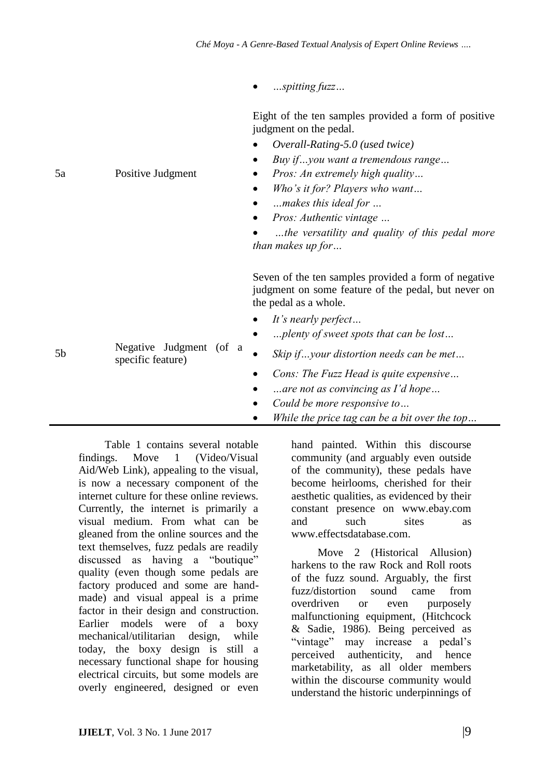*Overall-Rating-5.0 (used twice)*

*…spitting fuzz…*

Eight of the ten samples provided a form of positive judgment on the pedal.

| 5a | Positive Judgment                            | Buy ifyou want a tremendous range<br><i>Pros: An extremely high quality</i><br>Who's it for? Players who want<br>$\bullet$<br>makes this ideal for<br>٠<br>Pros: Authentic vintage<br>$\bullet$<br>the versatility and quality of this pedal more<br><i>than makes up for</i> |
|----|----------------------------------------------|-------------------------------------------------------------------------------------------------------------------------------------------------------------------------------------------------------------------------------------------------------------------------------|
| 5b | Negative Judgment (of a<br>specific feature) | Seven of the ten samples provided a form of negative<br>judgment on some feature of the pedal, but never on<br>the pedal as a whole.<br>It's nearly perfect<br>plenty of sweet spots that can be lost<br>Skip ifyour distortion needs can be met<br>$\bullet$                 |
|    |                                              | <i>Cons: The Fuzz Head is quite expensive</i><br>are not as convincing as I'd hope<br>Could be more responsive to<br>While the price tag can be a bit over the top                                                                                                            |

Table 1 contains several notable findings. Move 1 (Video/Visual Aid/Web Link), appealing to the visual, is now a necessary component of the internet culture for these online reviews. Currently, the internet is primarily a visual medium. From what can be gleaned from the online sources and the text themselves, fuzz pedals are readily discussed as having a "boutique" quality (even though some pedals are factory produced and some are handmade) and visual appeal is a prime factor in their design and construction. Earlier models were of a boxy mechanical/utilitarian design, while today, the boxy design is still a necessary functional shape for housing electrical circuits, but some models are overly engineered, designed or even hand painted. Within this discourse community (and arguably even outside of the community), these pedals have become heirlooms, cherished for their aesthetic qualities, as evidenced by their constant presence on www.ebay.com and such sites as www.effectsdatabase.com.

Move 2 (Historical Allusion) harkens to the raw Rock and Roll roots of the fuzz sound. Arguably, the first fuzz/distortion sound came from overdriven or even purposely malfunctioning equipment, (Hitchcock & Sadie, 1986). Being perceived as "vintage" may increase a pedal's perceived authenticity, and hence marketability, as all older members within the discourse community would understand the historic underpinnings of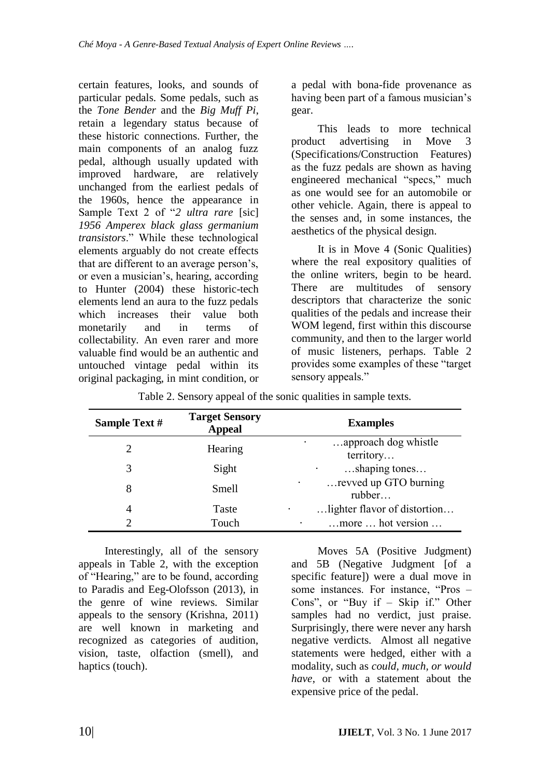certain features, looks, and sounds of particular pedals. Some pedals, such as the *Tone Bender* and the *Big Muff Pi*, retain a legendary status because of these historic connections. Further, the main components of an analog fuzz pedal, although usually updated with improved hardware, are relatively unchanged from the earliest pedals of the 1960s, hence the appearance in Sample Text 2 of "2 *ultra rare* [sic] *1956 Amperex black glass germanium transistors*.‖ While these technological elements arguably do not create effects that are different to an average person's, or even a musician's, hearing, according to Hunter (2004) these historic-tech elements lend an aura to the fuzz pedals which increases their value both monetarily and in terms of collectability. An even rarer and more valuable find would be an authentic and untouched vintage pedal within its original packaging, in mint condition, or a pedal with bona-fide provenance as having been part of a famous musician's gear.

This leads to more technical product advertising in Move 3 (Specifications/Construction Features) as the fuzz pedals are shown as having engineered mechanical "specs," much as one would see for an automobile or other vehicle. Again, there is appeal to the senses and, in some instances, the aesthetics of the physical design.

It is in Move 4 (Sonic Qualities) where the real expository qualities of the online writers, begin to be heard. There are multitudes of sensory descriptors that characterize the sonic qualities of the pedals and increase their WOM legend, first within this discourse community, and then to the larger world of music listeners, perhaps. Table 2 provides some examples of these "target" sensory appeals."

| Sample Text # | <b>Target Sensory</b><br><b>Appeal</b> | <b>Examples</b>                   |
|---------------|----------------------------------------|-----------------------------------|
| 2             | Hearing                                | approach dog whistle<br>territory |
| 3             | Sight                                  | shaping tones                     |
| 8             | Smell                                  | revved up GTO burning<br>rubber   |
| 4             | <b>Taste</b>                           | lighter flavor of distortion      |
| っ             | Touch                                  | more  hot version                 |

Table 2. Sensory appeal of the sonic qualities in sample texts.

Interestingly, all of the sensory appeals in Table 2, with the exception of "Hearing," are to be found, according to Paradis and Eeg-Olofsson (2013), in the genre of wine reviews. Similar appeals to the sensory (Krishna, 2011) are well known in marketing and recognized as categories of audition, vision, taste, olfaction (smell), and haptics (touch).

Moves 5A (Positive Judgment) and 5B (Negative Judgment [of a specific feature]) were a dual move in some instances. For instance, "Pros – Cons", or "Buy if – Skip if." Other samples had no verdict, just praise. Surprisingly, there were never any harsh negative verdicts. Almost all negative statements were hedged, either with a modality, such as *could, much, or would have*, or with a statement about the expensive price of the pedal.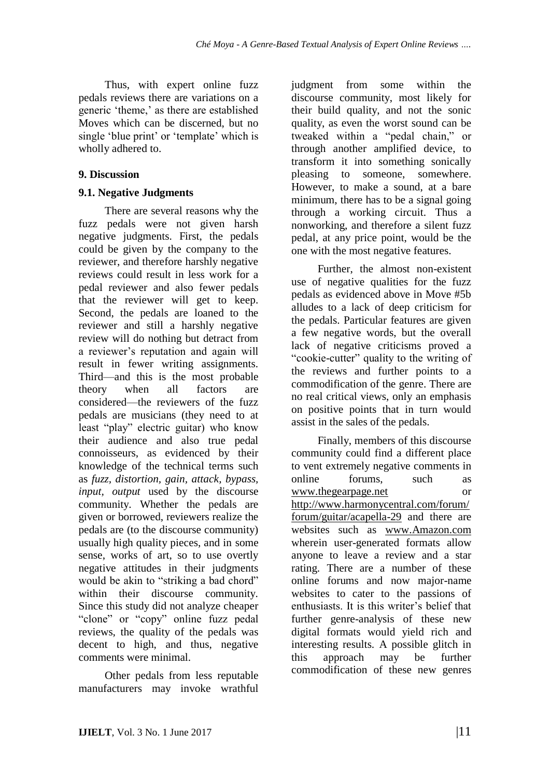Thus, with expert online fuzz pedals reviews there are variations on a generic 'theme,' as there are established Moves which can be discerned, but no single 'blue print' or 'template' which is wholly adhered to.

### **9. Discussion**

### **9.1. Negative Judgments**

There are several reasons why the fuzz pedals were not given harsh negative judgments. First, the pedals could be given by the company to the reviewer, and therefore harshly negative reviews could result in less work for a pedal reviewer and also fewer pedals that the reviewer will get to keep. Second, the pedals are loaned to the reviewer and still a harshly negative review will do nothing but detract from a reviewer's reputation and again will result in fewer writing assignments. Third—and this is the most probable theory when all factors are considered—the reviewers of the fuzz pedals are musicians (they need to at least "play" electric guitar) who know their audience and also true pedal connoisseurs, as evidenced by their knowledge of the technical terms such as *fuzz, distortion, gain, attack, bypass, input, output* used by the discourse community. Whether the pedals are given or borrowed, reviewers realize the pedals are (to the discourse community) usually high quality pieces, and in some sense, works of art, so to use overtly negative attitudes in their judgments would be akin to "striking a bad chord" within their discourse community. Since this study did not analyze cheaper "clone" or "copy" online fuzz pedal reviews, the quality of the pedals was decent to high, and thus, negative comments were minimal.

Other pedals from less reputable manufacturers may invoke wrathful judgment from some within the discourse community, most likely for their build quality, and not the sonic quality, as even the worst sound can be tweaked within a "pedal chain," or through another amplified device, to transform it into something sonically pleasing to someone, somewhere. However, to make a sound, at a bare minimum, there has to be a signal going through a working circuit. Thus a nonworking, and therefore a silent fuzz pedal, at any price point, would be the one with the most negative features.

Further, the almost non-existent use of negative qualities for the fuzz pedals as evidenced above in Move #5b alludes to a lack of deep criticism for the pedals. Particular features are given a few negative words, but the overall lack of negative criticisms proved a "cookie-cutter" quality to the writing of the reviews and further points to a commodification of the genre. There are no real critical views, only an emphasis on positive points that in turn would assist in the sales of the pedals.

Finally, members of this discourse community could find a different place to vent extremely negative comments in online forums, such as [www.thegearpage.net](http://www.thegearpage.net/) or [http://www.harmonycentral.com/forum/](http://www.harmonycentral.com/forum/forum/guitar/acapella-29) [forum/guitar/acapella-29](http://www.harmonycentral.com/forum/forum/guitar/acapella-29) and there are websites such as [www.Amazon.com](http://www.amazon.com/) wherein user-generated formats allow anyone to leave a review and a star rating. There are a number of these online forums and now major-name websites to cater to the passions of enthusiasts. It is this writer's belief that further genre-analysis of these new digital formats would yield rich and interesting results. A possible glitch in this approach may be further commodification of these new genres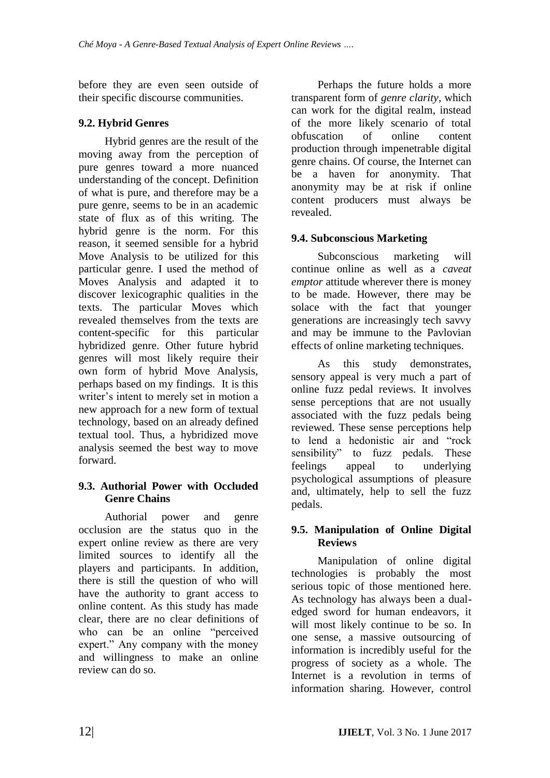before they are even seen outside of their specific discourse communities.

### **9.2. Hybrid Genres**

Hybrid genres are the result of the moving away from the perception of pure genres toward a more nuanced understanding of the concept. Definition of what is pure, and therefore may be a pure genre, seems to be in an academic state of flux as of this writing. The hybrid genre is the norm. For this reason, it seemed sensible for a hybrid Move Analysis to be utilized for this particular genre. I used the method of Moves Analysis and adapted it to discover lexicographic qualities in the texts. The particular Moves which revealed themselves from the texts are content-specific for this particular hybridized genre. Other future hybrid genres will most likely require their own form of hybrid Move Analysis, perhaps based on my findings. It is this writer's intent to merely set in motion a new approach for a new form of textual technology, based on an already defined textual tool. Thus, a hybridized move analysis seemed the best way to move forward.

### **9.3. Authorial Power with Occluded Genre Chains**

Authorial power and genre occlusion are the status quo in the expert online review as there are very limited sources to identify all the players and participants. In addition, there is still the question of who will have the authority to grant access to online content. As this study has made clear, there are no clear definitions of who can be an online "perceived" expert." Any company with the money and willingness to make an online review can do so.

Perhaps the future holds a more transparent form of *genre clarity,* which can work for the digital realm, instead of the more likely scenario of total obfuscation of online content production through impenetrable digital genre chains. Of course, the Internet can be a haven for anonymity. That anonymity may be at risk if online content producers must always be revealed.

## **9.4. Subconscious Marketing**

Subconscious marketing will continue online as well as a *caveat emptor* attitude wherever there is money to be made. However, there may be solace with the fact that younger generations are increasingly tech savvy and may be immune to the Pavlovian effects of online marketing techniques.

As this study demonstrates, sensory appeal is very much a part of online fuzz pedal reviews. It involves sense perceptions that are not usually associated with the fuzz pedals being reviewed. These sense perceptions help to lend a hedonistic air and "rock sensibility" to fuzz pedals. These feelings appeal to underlying psychological assumptions of pleasure and, ultimately, help to sell the fuzz pedals.

### **9.5. Manipulation of Online Digital Reviews**

Manipulation of online digital technologies is probably the most serious topic of those mentioned here. As technology has always been a dualedged sword for human endeavors, it will most likely continue to be so. In one sense, a massive outsourcing of information is incredibly useful for the progress of society as a whole. The Internet is a revolution in terms of information sharing. However, control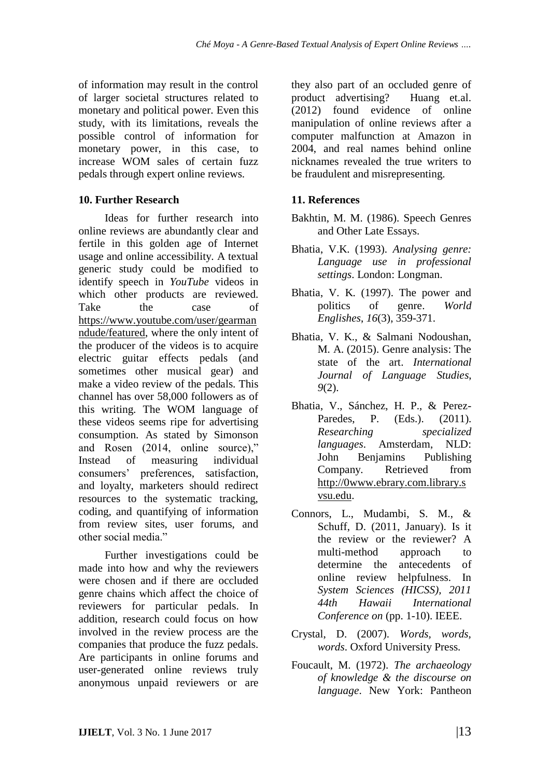of information may result in the control of larger societal structures related to monetary and political power. Even this study, with its limitations, reveals the possible control of information for monetary power, in this case, to increase WOM sales of certain fuzz pedals through expert online reviews.

### **10. Further Research**

Ideas for further research into online reviews are abundantly clear and fertile in this golden age of Internet usage and online accessibility. A textual generic study could be modified to identify speech in *YouTube* videos in which other products are reviewed. Take the case of [https://www.youtube.com/user/gearman](https://www.youtube.com/user/gearmanndude/featured) [ndude/featured,](https://www.youtube.com/user/gearmanndude/featured) where the only intent of the producer of the videos is to acquire electric guitar effects pedals (and sometimes other musical gear) and make a video review of the pedals. This channel has over 58,000 followers as of this writing. The WOM language of these videos seems ripe for advertising consumption. As stated by Simonson and Rosen (2014, online source)," Instead of measuring individual consumers' preferences, satisfaction, and loyalty, marketers should redirect resources to the systematic tracking, coding, and quantifying of information from review sites, user forums, and other social media."

Further investigations could be made into how and why the reviewers were chosen and if there are occluded genre chains which affect the choice of reviewers for particular pedals. In addition, research could focus on how involved in the review process are the companies that produce the fuzz pedals. Are participants in online forums and user-generated online reviews truly anonymous unpaid reviewers or are they also part of an occluded genre of product advertising? Huang et.al. (2012) found evidence of online manipulation of online reviews after a computer malfunction at Amazon in 2004, and real names behind online nicknames revealed the true writers to be fraudulent and misrepresenting.

### **11. References**

- Bakhtin, M. M. (1986). Speech Genres and Other Late Essays.
- Bhatia, V.K. (1993). *Analysing genre: Language use in professional settings*. London: Longman.
- Bhatia, V. K. (1997). The power and politics of genre. *World Englishes*, *16*(3), 359-371.
- Bhatia, V. K., & Salmani Nodoushan, M. A. (2015). Genre analysis: The state of the art. *International Journal of Language Studies*, *9*(2).
- Bhatia, V., Sánchez, H. P., & Perez-Paredes, P. (Eds.). (2011). *Researching specialized languages*. Amsterdam, NLD: John Benjamins Publishing Company. Retrieved from [http://0www.ebrary.com.library.s](http://0www.ebrary.com.library.svsu.edu/) [vsu.edu.](http://0www.ebrary.com.library.svsu.edu/)
- Connors, L., Mudambi, S. M., & Schuff, D. (2011, January). Is it the review or the reviewer? A multi-method approach to determine the antecedents of online review helpfulness. In *System Sciences (HICSS), 2011 44th Hawaii International Conference on* (pp. 1-10). IEEE.
- Crystal, D. (2007). *Words, words, words*. Oxford University Press.
- Foucault, M. (1972). *The archaeology of knowledge & the discourse on language*. New York: Pantheon